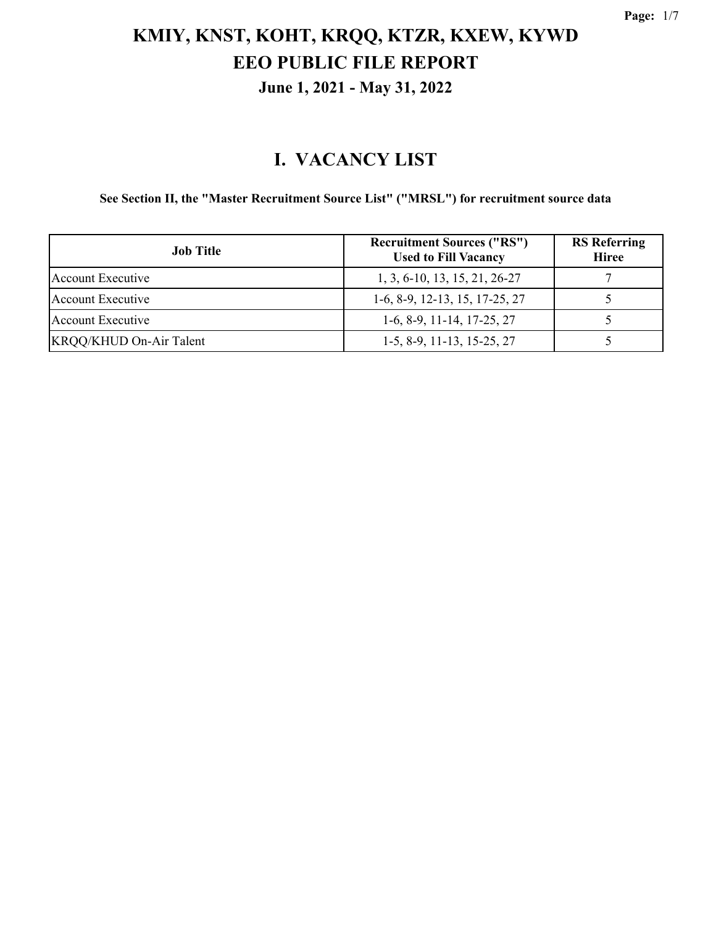#### **I. VACANCY LIST**

**See Section II, the "Master Recruitment Source List" ("MRSL") for recruitment source data**

| <b>Job Title</b>               | <b>Recruitment Sources ("RS")</b><br><b>Used to Fill Vacancy</b> | <b>RS</b> Referring<br><b>Hiree</b> |
|--------------------------------|------------------------------------------------------------------|-------------------------------------|
| Account Executive              | 1, 3, 6-10, 13, 15, 21, 26-27                                    |                                     |
| Account Executive              | $1-6, 8-9, 12-13, 15, 17-25, 27$                                 |                                     |
| Account Executive              | $1-6, 8-9, 11-14, 17-25, 27$                                     |                                     |
| <b>KRQQ/KHUD On-Air Talent</b> | $1-5, 8-9, 11-13, 15-25, 27$                                     |                                     |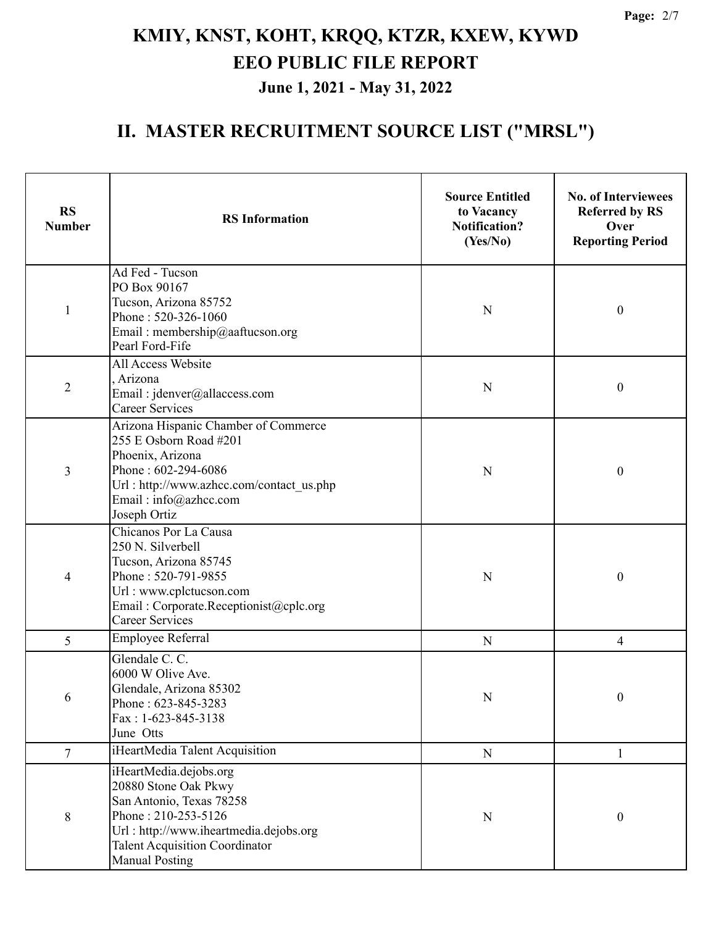| <b>RS</b><br><b>Number</b> | <b>RS</b> Information                                                                                                                                                                                         | <b>Source Entitled</b><br>to Vacancy<br><b>Notification?</b><br>(Yes/No) | <b>No. of Interviewees</b><br><b>Referred by RS</b><br>Over<br><b>Reporting Period</b> |
|----------------------------|---------------------------------------------------------------------------------------------------------------------------------------------------------------------------------------------------------------|--------------------------------------------------------------------------|----------------------------------------------------------------------------------------|
| $\mathbf{1}$               | Ad Fed - Tucson<br>PO Box 90167<br>Tucson, Arizona 85752<br>Phone: 520-326-1060<br>Email: membership@aaftucson.org<br>Pearl Ford-Fife                                                                         | N                                                                        | $\boldsymbol{0}$                                                                       |
| $\overline{2}$             | All Access Website<br>, Arizona<br>Email: jdenver@allaccess.com<br><b>Career Services</b>                                                                                                                     | N                                                                        | $\boldsymbol{0}$                                                                       |
| 3                          | Arizona Hispanic Chamber of Commerce<br>255 E Osborn Road #201<br>Phoenix, Arizona<br>Phone: 602-294-6086<br>Url: http://www.azhcc.com/contact_us.php<br>Email: info@azhcc.com<br>Joseph Ortiz                | N                                                                        | $\boldsymbol{0}$                                                                       |
| 4                          | Chicanos Por La Causa<br>250 N. Silverbell<br>Tucson, Arizona 85745<br>Phone: 520-791-9855<br>Url: www.cplctucson.com<br>Email: Corporate.Receptionist@cplc.org<br><b>Career Services</b>                     | N                                                                        | $\boldsymbol{0}$                                                                       |
| 5                          | <b>Employee Referral</b>                                                                                                                                                                                      | N                                                                        | $\overline{4}$                                                                         |
| 6                          | Glendale C. C.<br>6000 W Olive Ave.<br>Glendale, Arizona 85302<br>Phone: 623-845-3283<br>Fax: 1-623-845-3138<br>June Otts                                                                                     | ${\bf N}$                                                                | $\boldsymbol{0}$                                                                       |
| $\tau$                     | iHeartMedia Talent Acquisition                                                                                                                                                                                | $\mathbf N$                                                              | 1                                                                                      |
| 8                          | iHeartMedia.dejobs.org<br>20880 Stone Oak Pkwy<br>San Antonio, Texas 78258<br>Phone: 210-253-5126<br>Url: http://www.iheartmedia.dejobs.org<br><b>Talent Acquisition Coordinator</b><br><b>Manual Posting</b> | N                                                                        | $\boldsymbol{0}$                                                                       |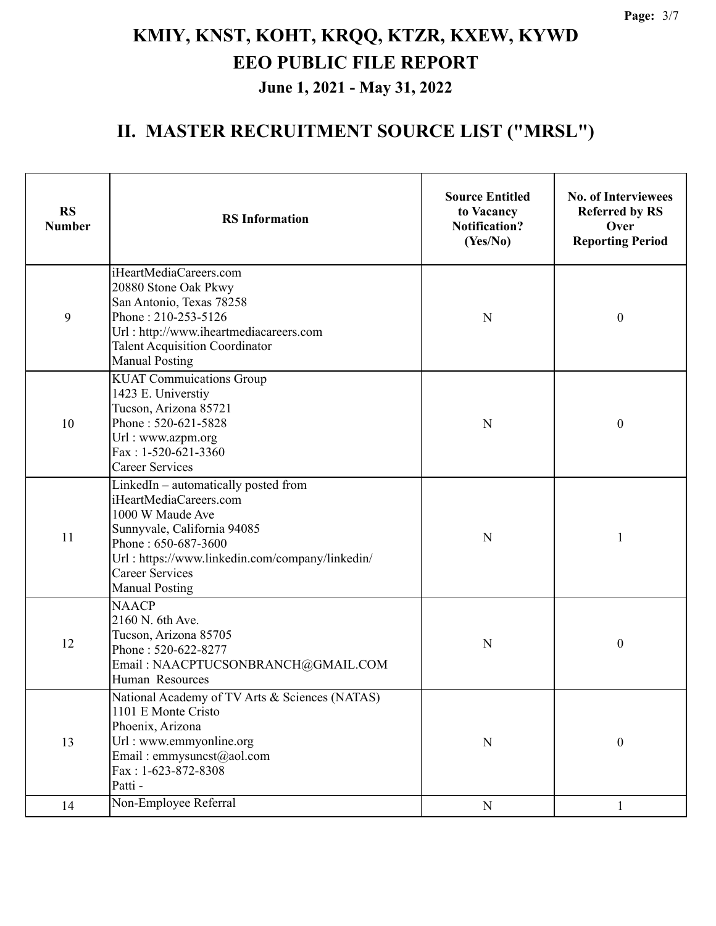| <b>RS</b><br><b>Number</b> | <b>RS</b> Information                                                                                                                                                                                                                          | <b>Source Entitled</b><br>to Vacancy<br><b>Notification?</b><br>(Yes/No) | <b>No. of Interviewees</b><br><b>Referred by RS</b><br>Over<br><b>Reporting Period</b> |
|----------------------------|------------------------------------------------------------------------------------------------------------------------------------------------------------------------------------------------------------------------------------------------|--------------------------------------------------------------------------|----------------------------------------------------------------------------------------|
| 9                          | iHeartMediaCareers.com<br>20880 Stone Oak Pkwy<br>San Antonio, Texas 78258<br>Phone: 210-253-5126<br>Url: http://www.iheartmediacareers.com<br><b>Talent Acquisition Coordinator</b><br><b>Manual Posting</b>                                  | N                                                                        | $\boldsymbol{0}$                                                                       |
| 10                         | <b>KUAT Commuications Group</b><br>1423 E. Universtiy<br>Tucson, Arizona 85721<br>Phone: 520-621-5828<br>Url: www.azpm.org<br>Fax: 1-520-621-3360<br><b>Career Services</b>                                                                    | N                                                                        | $\boldsymbol{0}$                                                                       |
| 11                         | LinkedIn - automatically posted from<br>iHeartMediaCareers.com<br>1000 W Maude Ave<br>Sunnyvale, California 94085<br>Phone: 650-687-3600<br>Url: https://www.linkedin.com/company/linkedin/<br><b>Career Services</b><br><b>Manual Posting</b> | N                                                                        | 1                                                                                      |
| 12                         | <b>NAACP</b><br>2160 N. 6th Ave.<br>Tucson, Arizona 85705<br>Phone: 520-622-8277<br>Email: NAACPTUCSONBRANCH@GMAIL.COM<br>Human Resources                                                                                                      | N                                                                        | $\boldsymbol{0}$                                                                       |
| 13                         | National Academy of TV Arts & Sciences (NATAS)<br>1101 E Monte Cristo<br>Phoenix, Arizona<br>Url: www.emmyonline.org<br>Email: emmysuncst@aol.com<br>Fax: 1-623-872-8308<br>Patti -                                                            | N                                                                        | $\boldsymbol{0}$                                                                       |
| 14                         | Non-Employee Referral                                                                                                                                                                                                                          | ${\bf N}$                                                                | 1                                                                                      |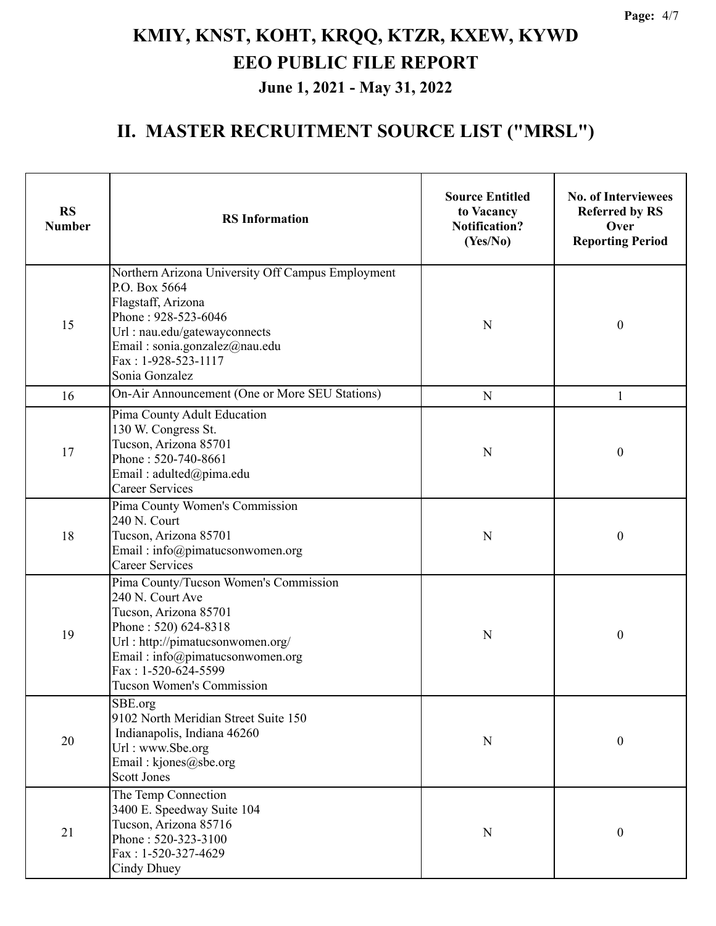| <b>RS</b><br><b>Number</b> | <b>RS</b> Information                                                                                                                                                                                                                        | <b>Source Entitled</b><br>to Vacancy<br><b>Notification?</b><br>(Yes/No) | <b>No. of Interviewees</b><br><b>Referred by RS</b><br>Over<br><b>Reporting Period</b> |  |
|----------------------------|----------------------------------------------------------------------------------------------------------------------------------------------------------------------------------------------------------------------------------------------|--------------------------------------------------------------------------|----------------------------------------------------------------------------------------|--|
| 15                         | Northern Arizona University Off Campus Employment<br>P.O. Box 5664<br>Flagstaff, Arizona<br>Phone: 928-523-6046<br>N<br>Url: nau.edu/gatewayconnects<br>Email: sonia.gonzalez@nau.edu<br>Fax: 1-928-523-1117<br>Sonia Gonzalez               |                                                                          | $\boldsymbol{0}$                                                                       |  |
| 16                         | On-Air Announcement (One or More SEU Stations)                                                                                                                                                                                               | N                                                                        | 1                                                                                      |  |
| 17                         | Pima County Adult Education<br>130 W. Congress St.<br>Tucson, Arizona 85701<br>Phone: 520-740-8661<br>Email: adulted@pima.edu<br><b>Career Services</b>                                                                                      | N                                                                        | $\boldsymbol{0}$                                                                       |  |
| 18                         | Pima County Women's Commission<br>240 N. Court<br>Tucson, Arizona 85701<br>Email: info@pimatucsonwomen.org<br><b>Career Services</b>                                                                                                         | N                                                                        | $\boldsymbol{0}$                                                                       |  |
| 19                         | Pima County/Tucson Women's Commission<br>240 N. Court Ave<br>Tucson, Arizona 85701<br>Phone: 520) 624-8318<br>Url: http://pimatucsonwomen.org/<br>Email: info@pimatucsonwomen.org<br>Fax: 1-520-624-5599<br><b>Tucson Women's Commission</b> | N                                                                        | $\boldsymbol{0}$                                                                       |  |
| 20                         | SBE.org<br>9102 North Meridian Street Suite 150<br>Indianapolis, Indiana 46260<br>Url: www.Sbe.org<br>Email: kjones@sbe.org<br><b>Scott Jones</b>                                                                                            | $\mathbf N$                                                              | $\boldsymbol{0}$                                                                       |  |
| 21                         | The Temp Connection<br>3400 E. Speedway Suite 104<br>Tucson, Arizona 85716<br>Phone: 520-323-3100<br>Fax: 1-520-327-4629<br>Cindy Dhuey                                                                                                      | N                                                                        | $\boldsymbol{0}$                                                                       |  |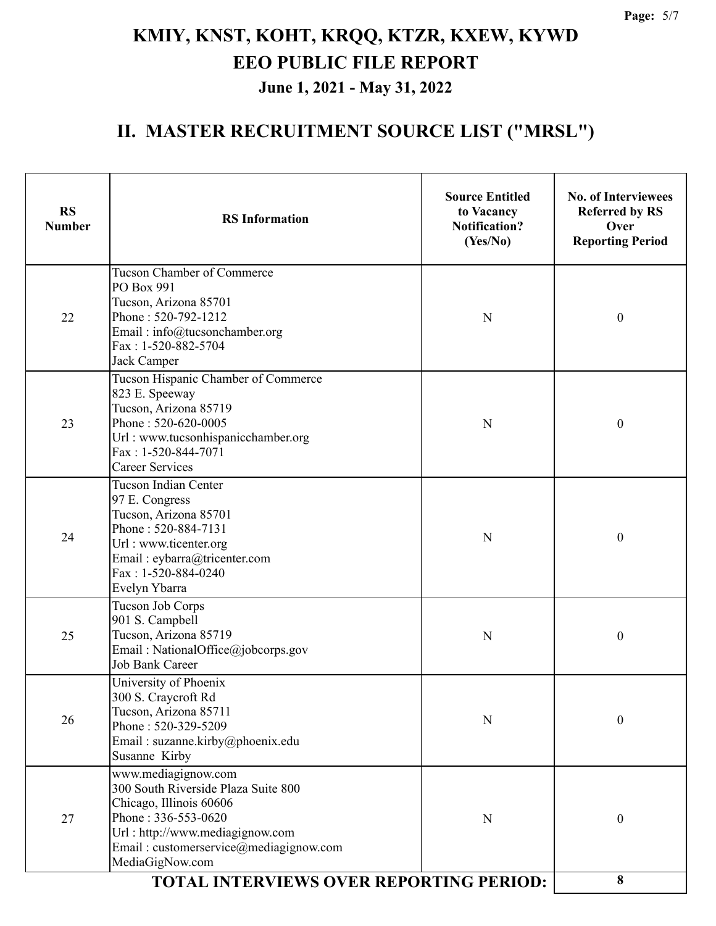| <b>RS</b> Information                                                                                                                                                                        | <b>Source Entitled</b><br>to Vacancy<br><b>Notification?</b><br>(Yes/No) | <b>No. of Interviewees</b><br><b>Referred by RS</b><br>Over<br><b>Reporting Period</b> |
|----------------------------------------------------------------------------------------------------------------------------------------------------------------------------------------------|--------------------------------------------------------------------------|----------------------------------------------------------------------------------------|
| <b>Tucson Chamber of Commerce</b><br>PO Box 991<br>Tucson, Arizona 85701<br>Phone: 520-792-1212<br>Email: info@tucsonchamber.org<br>Fax: 1-520-882-5704<br>Jack Camper                       | N                                                                        | $\boldsymbol{0}$                                                                       |
| Tucson Hispanic Chamber of Commerce<br>823 E. Speeway<br>Tucson, Arizona 85719<br>Phone: 520-620-0005<br>Url: www.tucsonhispanicchamber.org<br>Fax: 1-520-844-7071<br><b>Career Services</b> | N                                                                        | $\boldsymbol{0}$                                                                       |
| <b>Tucson Indian Center</b><br>97 E. Congress<br>Tucson, Arizona 85701<br>Phone: 520-884-7131<br>Url: www.ticenter.org<br>Email: eybarra@tricenter.com<br>Fax: 1-520-884-0240                | N                                                                        | $\boldsymbol{0}$                                                                       |
| Tucson Job Corps<br>901 S. Campbell<br>Tucson, Arizona 85719<br>Email: NationalOffice@jobcorps.gov<br><b>Job Bank Career</b>                                                                 | N                                                                        | $\boldsymbol{0}$                                                                       |
| University of Phoenix<br>300 S. Craycroft Rd<br>Tucson, Arizona 85711<br>Phone: 520-329-5209<br>Email: suzanne.kirby@phoenix.edu<br>Susanne Kirby                                            | N                                                                        | 0                                                                                      |
| 300 South Riverside Plaza Suite 800<br>Chicago, Illinois 60606<br>Phone: 336-553-0620<br>Url: http://www.mediagignow.com<br>Email: customerservice@mediagignow.com<br>MediaGigNow.com        | N                                                                        | $\boldsymbol{0}$<br>8                                                                  |
|                                                                                                                                                                                              | Evelyn Ybarra<br>www.mediagignow.com                                     | <b>TOTAL INTERVIEWS OVER REPORTING PERIOD:</b>                                         |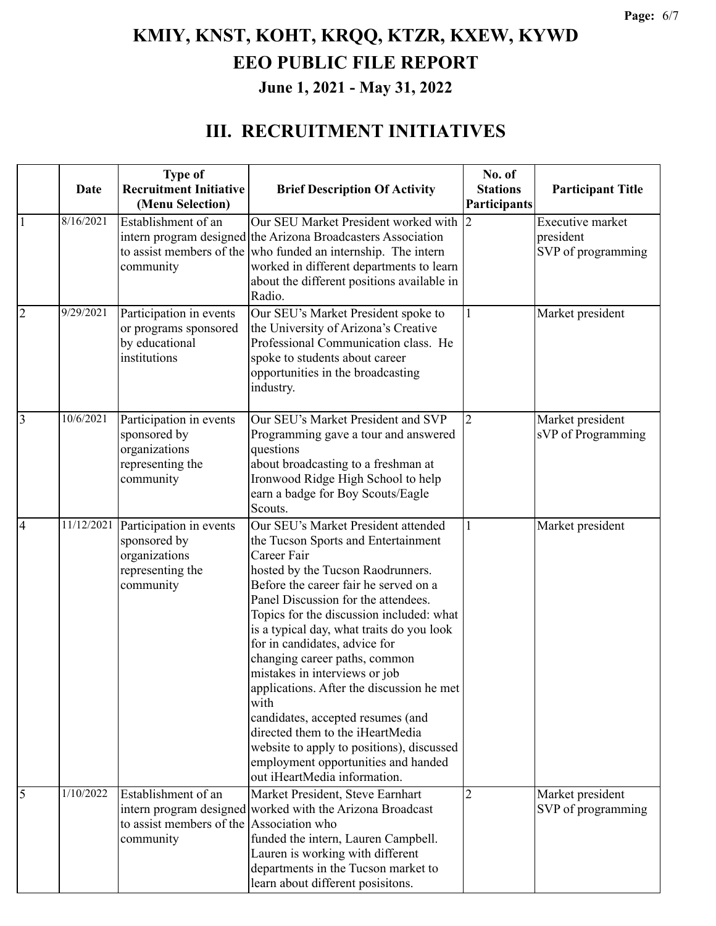#### **III. RECRUITMENT INITIATIVES**

|                | Date       | <b>Type of</b><br><b>Recruitment Initiative</b><br>(Menu Selection)                       | <b>Brief Description Of Activity</b>                                                                                                                                                                                                                                                                                                                                                                                                                                                                                                                                                                                                                         | No. of<br><b>Stations</b><br><b>Participants</b> | <b>Participant Title</b>                                   |
|----------------|------------|-------------------------------------------------------------------------------------------|--------------------------------------------------------------------------------------------------------------------------------------------------------------------------------------------------------------------------------------------------------------------------------------------------------------------------------------------------------------------------------------------------------------------------------------------------------------------------------------------------------------------------------------------------------------------------------------------------------------------------------------------------------------|--------------------------------------------------|------------------------------------------------------------|
| $\mathbf{1}$   | 8/16/2021  | Establishment of an<br>community                                                          | Our SEU Market President worked with<br>intern program designed the Arizona Broadcasters Association<br>to assist members of the who funded an internship. The intern<br>worked in different departments to learn<br>about the different positions available in<br>Radio.                                                                                                                                                                                                                                                                                                                                                                                    |                                                  | <b>Executive market</b><br>president<br>SVP of programming |
| $\overline{2}$ | 9/29/2021  | Participation in events<br>or programs sponsored<br>by educational<br>institutions        | Our SEU's Market President spoke to<br>the University of Arizona's Creative<br>Professional Communication class. He<br>spoke to students about career<br>opportunities in the broadcasting<br>industry.                                                                                                                                                                                                                                                                                                                                                                                                                                                      |                                                  | Market president                                           |
| $\overline{3}$ | 10/6/2021  | Participation in events<br>sponsored by<br>organizations<br>representing the<br>community | Our SEU's Market President and SVP<br>Programming gave a tour and answered<br>questions<br>about broadcasting to a freshman at<br>Ironwood Ridge High School to help<br>earn a badge for Boy Scouts/Eagle<br>Scouts.                                                                                                                                                                                                                                                                                                                                                                                                                                         | $\overline{2}$                                   | Market president<br>sVP of Programming                     |
| $\overline{4}$ | 11/12/2021 | Participation in events<br>sponsored by<br>organizations<br>representing the<br>community | Our SEU's Market President attended<br>the Tucson Sports and Entertainment<br>Career Fair<br>hosted by the Tucson Raodrunners.<br>Before the career fair he served on a<br>Panel Discussion for the attendees.<br>Topics for the discussion included: what<br>is a typical day, what traits do you look<br>for in candidates, advice for<br>changing career paths, common<br>mistakes in interviews or job<br>applications. After the discussion he met<br>with<br>candidates, accepted resumes (and<br>directed them to the iHeartMedia<br>website to apply to positions), discussed<br>employment opportunities and handed<br>out iHeartMedia information. |                                                  | Market president                                           |
| $\overline{5}$ | 1/10/2022  | Establishment of an<br>to assist members of the Association who<br>community              | Market President, Steve Earnhart<br>intern program designed worked with the Arizona Broadcast<br>funded the intern, Lauren Campbell.<br>Lauren is working with different<br>departments in the Tucson market to<br>learn about different posisitons.                                                                                                                                                                                                                                                                                                                                                                                                         | $\overline{2}$                                   | Market president<br>SVP of programming                     |